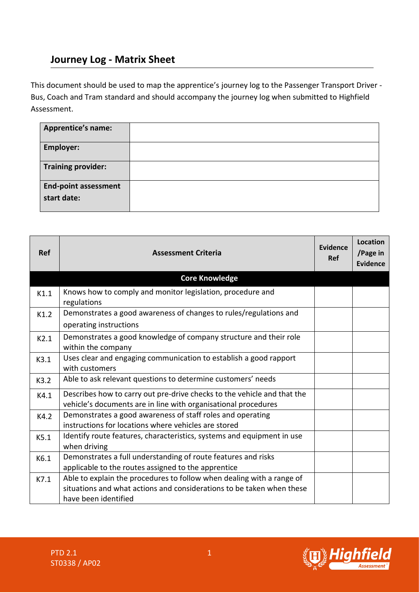## **Journey Log - Matrix Sheet**

This document should be used to map the apprentice's journey log to the Passenger Transport Driver - Bus, Coach and Tram standard and should accompany the journey log when submitted to Highfield Assessment.

| <b>Apprentice's name:</b>                  |  |
|--------------------------------------------|--|
| <b>Employer:</b>                           |  |
| <b>Training provider:</b>                  |  |
| <b>End-point assessment</b><br>start date: |  |

| <b>Ref</b> | <b>Assessment Criteria</b>                                                                                                                                             | Evidence<br>Ref | <b>Location</b><br>/Page in<br><b>Evidence</b> |
|------------|------------------------------------------------------------------------------------------------------------------------------------------------------------------------|-----------------|------------------------------------------------|
|            | <b>Core Knowledge</b>                                                                                                                                                  |                 |                                                |
| K1.1       | Knows how to comply and monitor legislation, procedure and<br>regulations                                                                                              |                 |                                                |
| K1.2       | Demonstrates a good awareness of changes to rules/regulations and<br>operating instructions                                                                            |                 |                                                |
| K2.1       | Demonstrates a good knowledge of company structure and their role<br>within the company                                                                                |                 |                                                |
| K3.1       | Uses clear and engaging communication to establish a good rapport<br>with customers                                                                                    |                 |                                                |
| K3.2       | Able to ask relevant questions to determine customers' needs                                                                                                           |                 |                                                |
| K4.1       | Describes how to carry out pre-drive checks to the vehicle and that the<br>vehicle's documents are in line with organisational procedures                              |                 |                                                |
| K4.2       | Demonstrates a good awareness of staff roles and operating<br>instructions for locations where vehicles are stored                                                     |                 |                                                |
| K5.1       | Identify route features, characteristics, systems and equipment in use<br>when driving                                                                                 |                 |                                                |
| K6.1       | Demonstrates a full understanding of route features and risks<br>applicable to the routes assigned to the apprentice                                                   |                 |                                                |
| K7.1       | Able to explain the procedures to follow when dealing with a range of<br>situations and what actions and considerations to be taken when these<br>have been identified |                 |                                                |

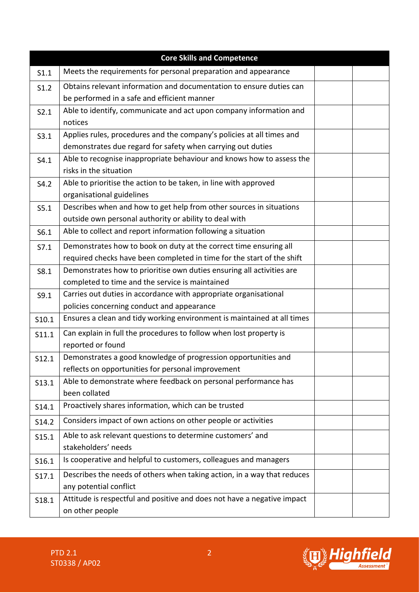| <b>Core Skills and Competence</b> |                                                                         |  |  |
|-----------------------------------|-------------------------------------------------------------------------|--|--|
| S1.1                              | Meets the requirements for personal preparation and appearance          |  |  |
| S1.2                              | Obtains relevant information and documentation to ensure duties can     |  |  |
|                                   | be performed in a safe and efficient manner                             |  |  |
| S2.1                              | Able to identify, communicate and act upon company information and      |  |  |
|                                   | notices                                                                 |  |  |
| S3.1                              | Applies rules, procedures and the company's policies at all times and   |  |  |
|                                   | demonstrates due regard for safety when carrying out duties             |  |  |
| S4.1                              | Able to recognise inappropriate behaviour and knows how to assess the   |  |  |
|                                   | risks in the situation                                                  |  |  |
| S4.2                              | Able to prioritise the action to be taken, in line with approved        |  |  |
|                                   | organisational guidelines                                               |  |  |
| S5.1                              | Describes when and how to get help from other sources in situations     |  |  |
|                                   | outside own personal authority or ability to deal with                  |  |  |
| S6.1                              | Able to collect and report information following a situation            |  |  |
| S7.1                              | Demonstrates how to book on duty at the correct time ensuring all       |  |  |
|                                   | required checks have been completed in time for the start of the shift  |  |  |
| S8.1                              | Demonstrates how to prioritise own duties ensuring all activities are   |  |  |
|                                   | completed to time and the service is maintained                         |  |  |
| S9.1                              | Carries out duties in accordance with appropriate organisational        |  |  |
|                                   | policies concerning conduct and appearance                              |  |  |
| S10.1                             | Ensures a clean and tidy working environment is maintained at all times |  |  |
| S11.1                             | Can explain in full the procedures to follow when lost property is      |  |  |
|                                   | reported or found                                                       |  |  |
| S12.1                             | Demonstrates a good knowledge of progression opportunities and          |  |  |
|                                   | reflects on opportunities for personal improvement                      |  |  |
| S13.1                             | Able to demonstrate where feedback on personal performance has          |  |  |
|                                   | been collated                                                           |  |  |
| S14.1                             | Proactively shares information, which can be trusted                    |  |  |
| S14.2                             | Considers impact of own actions on other people or activities           |  |  |
| S15.1                             | Able to ask relevant questions to determine customers' and              |  |  |
|                                   | stakeholders' needs                                                     |  |  |
| S16.1                             | Is cooperative and helpful to customers, colleagues and managers        |  |  |
| S17.1                             | Describes the needs of others when taking action, in a way that reduces |  |  |
|                                   | any potential conflict                                                  |  |  |
| S18.1                             | Attitude is respectful and positive and does not have a negative impact |  |  |
|                                   | on other people                                                         |  |  |

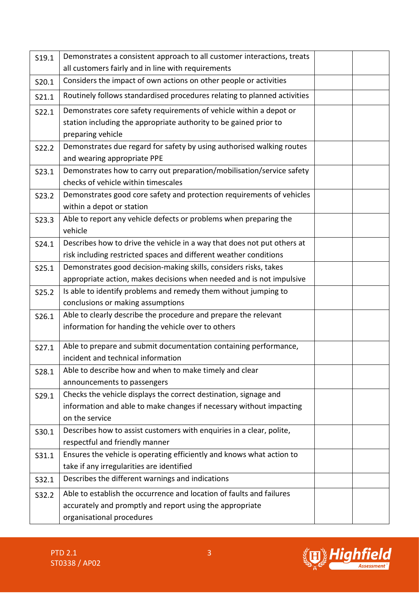| S19.1 | Demonstrates a consistent approach to all customer interactions, treats  |  |
|-------|--------------------------------------------------------------------------|--|
|       | all customers fairly and in line with requirements                       |  |
| S20.1 | Considers the impact of own actions on other people or activities        |  |
| S21.1 | Routinely follows standardised procedures relating to planned activities |  |
| S22.1 | Demonstrates core safety requirements of vehicle within a depot or       |  |
|       | station including the appropriate authority to be gained prior to        |  |
|       | preparing vehicle                                                        |  |
| S22.2 | Demonstrates due regard for safety by using authorised walking routes    |  |
|       | and wearing appropriate PPE                                              |  |
| S23.1 | Demonstrates how to carry out preparation/mobilisation/service safety    |  |
|       | checks of vehicle within timescales                                      |  |
| S23.2 | Demonstrates good core safety and protection requirements of vehicles    |  |
|       | within a depot or station                                                |  |
| S23.3 | Able to report any vehicle defects or problems when preparing the        |  |
|       | vehicle                                                                  |  |
| S24.1 | Describes how to drive the vehicle in a way that does not put others at  |  |
|       | risk including restricted spaces and different weather conditions        |  |
| S25.1 | Demonstrates good decision-making skills, considers risks, takes         |  |
|       | appropriate action, makes decisions when needed and is not impulsive     |  |
| S25.2 | Is able to identify problems and remedy them without jumping to          |  |
|       | conclusions or making assumptions                                        |  |
| S26.1 | Able to clearly describe the procedure and prepare the relevant          |  |
|       | information for handing the vehicle over to others                       |  |
| S27.1 | Able to prepare and submit documentation containing performance,         |  |
|       | incident and technical information                                       |  |
| S28.1 | Able to describe how and when to make timely and clear                   |  |
|       | announcements to passengers                                              |  |
| S29.1 | Checks the vehicle displays the correct destination, signage and         |  |
|       | information and able to make changes if necessary without impacting      |  |
|       | on the service                                                           |  |
| S30.1 | Describes how to assist customers with enquiries in a clear, polite,     |  |
|       | respectful and friendly manner                                           |  |
| S31.1 | Ensures the vehicle is operating efficiently and knows what action to    |  |
|       | take if any irregularities are identified                                |  |
| S32.1 | Describes the different warnings and indications                         |  |
| S32.2 | Able to establish the occurrence and location of faults and failures     |  |
|       | accurately and promptly and report using the appropriate                 |  |
|       | organisational procedures                                                |  |

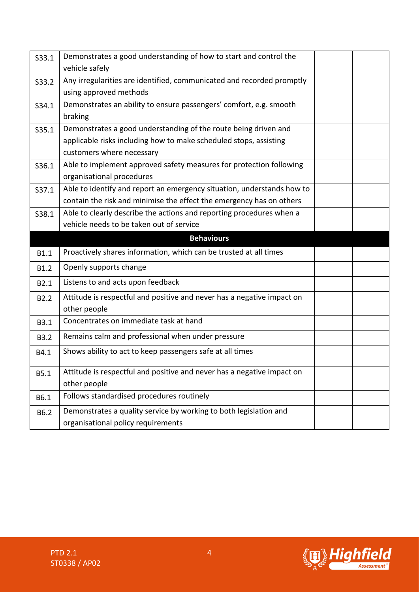| S33.1            | Demonstrates a good understanding of how to start and control the<br>vehicle safely                                                                               |  |
|------------------|-------------------------------------------------------------------------------------------------------------------------------------------------------------------|--|
| S33.2            | Any irregularities are identified, communicated and recorded promptly<br>using approved methods                                                                   |  |
| S34.1            | Demonstrates an ability to ensure passengers' comfort, e.g. smooth<br>braking                                                                                     |  |
| S35.1            | Demonstrates a good understanding of the route being driven and<br>applicable risks including how to make scheduled stops, assisting<br>customers where necessary |  |
| S36.1            | Able to implement approved safety measures for protection following<br>organisational procedures                                                                  |  |
| S37.1            | Able to identify and report an emergency situation, understands how to<br>contain the risk and minimise the effect the emergency has on others                    |  |
| S38.1            | Able to clearly describe the actions and reporting procedures when a<br>vehicle needs to be taken out of service                                                  |  |
|                  | <b>Behaviours</b>                                                                                                                                                 |  |
| <b>B1.1</b>      | Proactively shares information, which can be trusted at all times                                                                                                 |  |
| B1.2             | Openly supports change                                                                                                                                            |  |
| B2.1             | Listens to and acts upon feedback                                                                                                                                 |  |
| B <sub>2.2</sub> | Attitude is respectful and positive and never has a negative impact on<br>other people                                                                            |  |
| B3.1             | Concentrates on immediate task at hand                                                                                                                            |  |
| <b>B3.2</b>      | Remains calm and professional when under pressure                                                                                                                 |  |
| B4.1             | Shows ability to act to keep passengers safe at all times                                                                                                         |  |
| B5.1             | Attitude is respectful and positive and never has a negative impact on<br>other people                                                                            |  |
| B6.1             | Follows standardised procedures routinely                                                                                                                         |  |
| B6.2             | Demonstrates a quality service by working to both legislation and<br>organisational policy requirements                                                           |  |

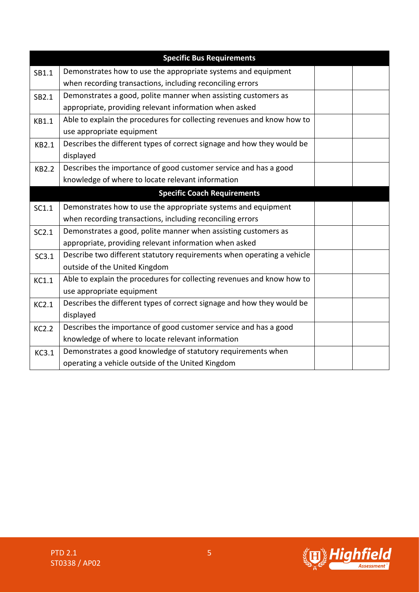| <b>Specific Bus Requirements</b> |                                                                        |  |  |
|----------------------------------|------------------------------------------------------------------------|--|--|
| SB1.1                            | Demonstrates how to use the appropriate systems and equipment          |  |  |
|                                  | when recording transactions, including reconciling errors              |  |  |
| SB2.1                            | Demonstrates a good, polite manner when assisting customers as         |  |  |
|                                  | appropriate, providing relevant information when asked                 |  |  |
| <b>KB1.1</b>                     | Able to explain the procedures for collecting revenues and know how to |  |  |
|                                  | use appropriate equipment                                              |  |  |
| KB2.1                            | Describes the different types of correct signage and how they would be |  |  |
|                                  | displayed                                                              |  |  |
| <b>KB2.2</b>                     | Describes the importance of good customer service and has a good       |  |  |
|                                  | knowledge of where to locate relevant information                      |  |  |
|                                  | <b>Specific Coach Requirements</b>                                     |  |  |
| SC1.1                            | Demonstrates how to use the appropriate systems and equipment          |  |  |
|                                  | when recording transactions, including reconciling errors              |  |  |
| SC2.1                            | Demonstrates a good, polite manner when assisting customers as         |  |  |
|                                  | appropriate, providing relevant information when asked                 |  |  |
| SC3.1                            | Describe two different statutory requirements when operating a vehicle |  |  |
|                                  | outside of the United Kingdom                                          |  |  |
| KC1.1                            | Able to explain the procedures for collecting revenues and know how to |  |  |
|                                  | use appropriate equipment                                              |  |  |
| KC2.1                            | Describes the different types of correct signage and how they would be |  |  |
|                                  | displayed                                                              |  |  |
| <b>KC2.2</b>                     | Describes the importance of good customer service and has a good       |  |  |
|                                  | knowledge of where to locate relevant information                      |  |  |
| <b>KC3.1</b>                     | Demonstrates a good knowledge of statutory requirements when           |  |  |
|                                  | operating a vehicle outside of the United Kingdom                      |  |  |